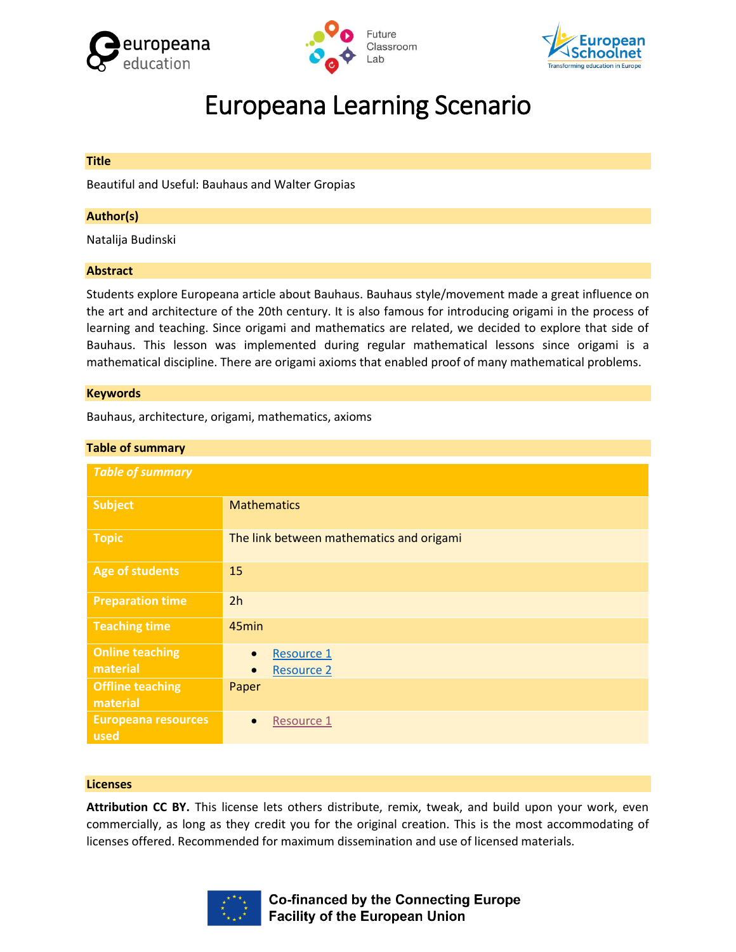





# Europeana Learning Scenario

#### **Title**

Beautiful and Useful: Bauhaus and Walter Gropias

#### **Author(s)**

Natalija Budinski

#### **Abstract**

Students explore Europeana article about Bauhaus. Bauhaus style/movement made a great influence on the art and architecture of the 20th century. It is also famous for introducing origami in the process of learning and teaching. Since origami and mathematics are related, we decided to explore that side of Bauhaus. This lesson was implemented during regular mathematical lessons since origami is a mathematical discipline. There are origami axioms that enabled proof of many mathematical problems.

#### **Keywords**

Bauhaus, architecture, origami, mathematics, axioms

| <b>Table of summary</b>             |                                                           |  |  |
|-------------------------------------|-----------------------------------------------------------|--|--|
| <b>Table of summary</b>             |                                                           |  |  |
| <b>Subject</b>                      | <b>Mathematics</b>                                        |  |  |
| <b>Topic</b>                        | The link between mathematics and origami                  |  |  |
| <b>Age of students</b>              | 15                                                        |  |  |
| <b>Preparation time</b>             | 2h                                                        |  |  |
| <b>Teaching time</b>                | 45min                                                     |  |  |
| <b>Online teaching</b><br>material  | Resource 1<br>$\bullet$<br><b>Resource 2</b><br>$\bullet$ |  |  |
| <b>Offline teaching</b><br>material | Paper                                                     |  |  |
| <b>Europeana resources</b><br>used  | Resource 1<br>$\bullet$                                   |  |  |

#### **Licenses**

**Attribution CC BY.** This license lets others distribute, remix, tweak, and build upon your work, even commercially, as long as they credit you for the original creation. This is the most accommodating of licenses offered. Recommended for maximum dissemination and use of licensed materials.

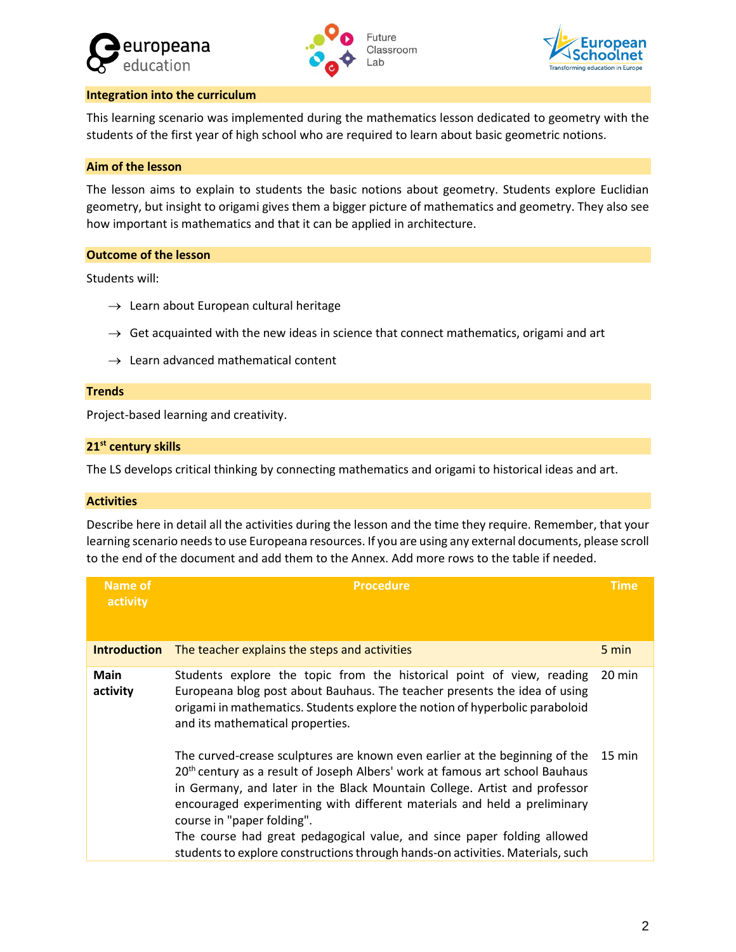





#### **Integration into the curriculum**

This learning scenario was implemented during the mathematics lesson dedicated to geometry with the students of the first year of high school who are required to learn about basic geometric notions.

# **Aim of the lesson**

The lesson aims to explain to students the basic notions about geometry. Students explore Euclidian geometry, but insight to origami gives them a bigger picture of mathematics and geometry. They also see how important is mathematics and that it can be applied in architecture.

## **Outcome of the lesson**

Students will:

- $\rightarrow$  Learn about European cultural heritage
- $\rightarrow$  Get acquainted with the new ideas in science that connect mathematics, origami and art
- $\rightarrow$  Learn advanced mathematical content

#### **Trends**

Project-based learning and creativity.

#### **21st century skills**

The LS develops critical thinking by connecting mathematics and origami to historical ideas and art.

#### **Activities**

Describe here in detail all the activities during the lesson and the time they require. Remember, that your learning scenario needs to use Europeana resources. If you are using any external documents, please scroll to the end of the document and add them to the Annex. Add more rows to the table if needed.

| Name of<br>activity     | <b>Procedure</b>                                                                                                                                                                                                                                                                                                                                                                                                                                                                                                            | <b>Time</b>      |
|-------------------------|-----------------------------------------------------------------------------------------------------------------------------------------------------------------------------------------------------------------------------------------------------------------------------------------------------------------------------------------------------------------------------------------------------------------------------------------------------------------------------------------------------------------------------|------------------|
| <b>Introduction</b>     | The teacher explains the steps and activities                                                                                                                                                                                                                                                                                                                                                                                                                                                                               | 5 min            |
| <b>Main</b><br>activity | Students explore the topic from the historical point of view, reading<br>Europeana blog post about Bauhaus. The teacher presents the idea of using<br>origami in mathematics. Students explore the notion of hyperbolic paraboloid<br>and its mathematical properties.                                                                                                                                                                                                                                                      | 20 min           |
|                         | The curved-crease sculptures are known even earlier at the beginning of the<br>20 <sup>th</sup> century as a result of Joseph Albers' work at famous art school Bauhaus<br>in Germany, and later in the Black Mountain College. Artist and professor<br>encouraged experimenting with different materials and held a preliminary<br>course in "paper folding".<br>The course had great pedagogical value, and since paper folding allowed<br>students to explore constructions through hands-on activities. Materials, such | $15 \text{ min}$ |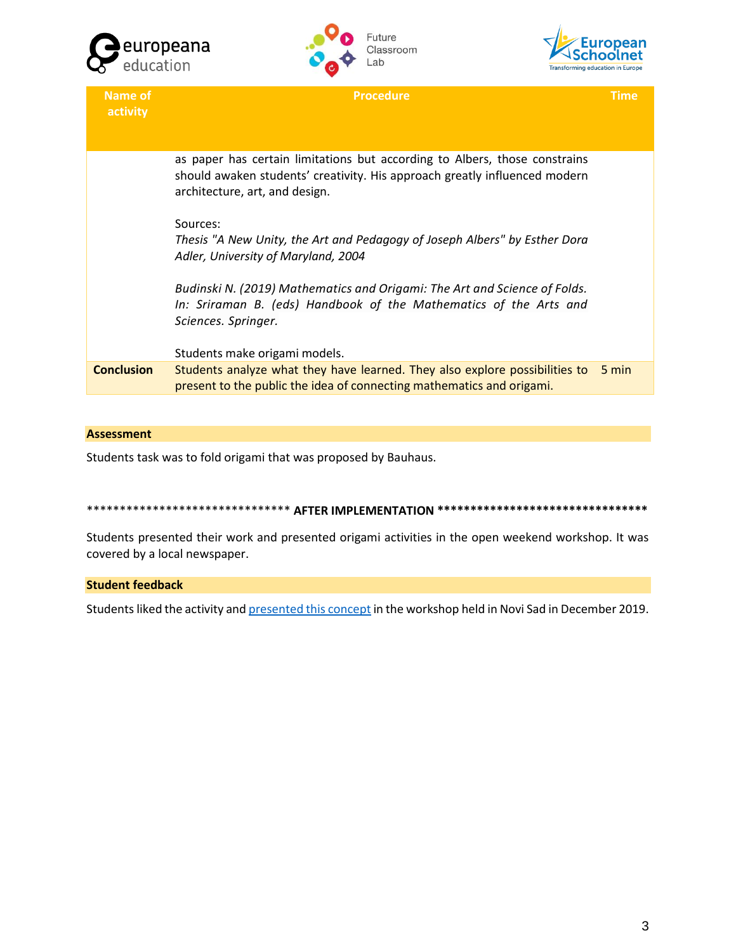





| <b>Name of</b><br>activity | <b>Procedure</b>                                                                                                                                                                           | Time  |
|----------------------------|--------------------------------------------------------------------------------------------------------------------------------------------------------------------------------------------|-------|
|                            | as paper has certain limitations but according to Albers, those constrains<br>should awaken students' creativity. His approach greatly influenced modern<br>architecture, art, and design. |       |
|                            | Sources:<br>Thesis "A New Unity, the Art and Pedagogy of Joseph Albers" by Esther Dora<br>Adler, University of Maryland, 2004                                                              |       |
|                            | Budinski N. (2019) Mathematics and Origami: The Art and Science of Folds.<br>In: Sriraman B. (eds) Handbook of the Mathematics of the Arts and<br>Sciences. Springer.                      |       |
|                            | Students make origami models.                                                                                                                                                              |       |
| <b>Conclusion</b>          | Students analyze what they have learned. They also explore possibilities to<br>present to the public the idea of connecting mathematics and origami.                                       | 5 min |
|                            |                                                                                                                                                                                            |       |

#### **Assessment**

Students task was to fold origami that was proposed by Bauhaus.

\*\*\*\*\*\*\*\*\*\*\*\*\*\*\*\*\*\*\*\*\*\*\*\*\*\*\*\*\*\*\*\*\*\*\*\* AFTER IMPLEMENTATION \*\*\*\*\*\*\*\*\*\*\*\*\*\*\*\*\*\*\*\*\*\*\*\*\*\*\*\*\*\*

Students presented their work and presented origami activities in the open weekend workshop. It was covered by a local newspaper.

## **Student feedback**

Students liked the activity and presented this concept in the workshop held in Novi Sad in December 2019.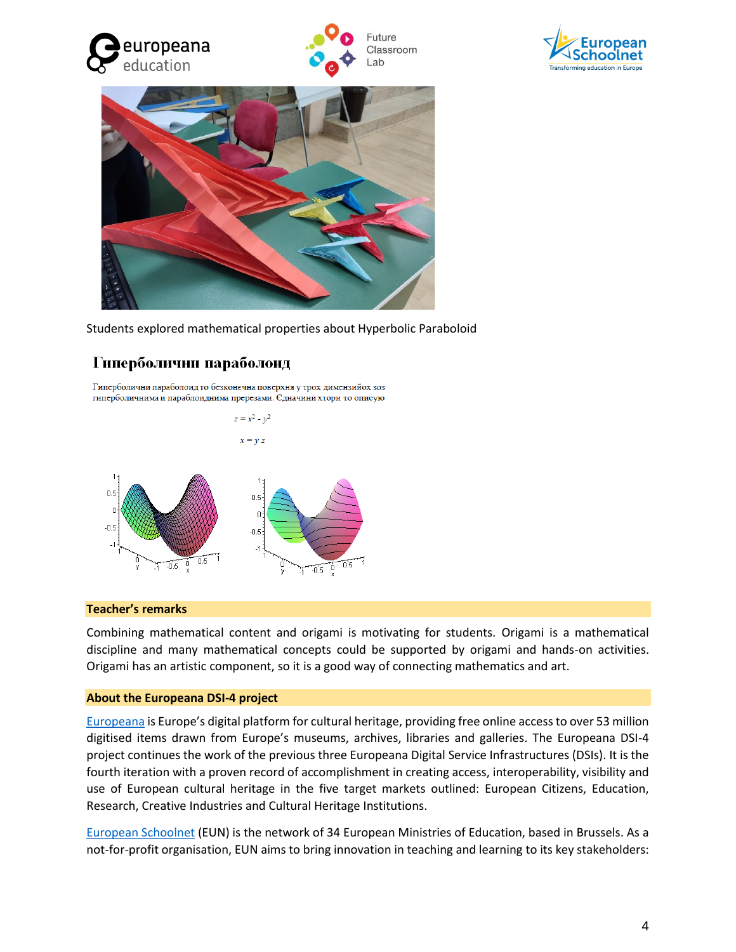







Students explored mathematical properties about Hyperbolic Paraboloid

# Гиперболични параболоид

Гиперболични параболоид то безконечна поверхня у трох димензийох зоз гиперболичнима и параблоиднима пререзами. Єдначини хтори то описую



# **Teacher's remarks**

Combining mathematical content and origami is motivating for students*.* Origami is a mathematical discipline and many mathematical concepts could be supported by origami and hands-on activities. Origami has an artistic component, so it is a good way of connecting mathematics and art.

# **About the Europeana DSI-4 project**

[Europeana](https://www.europeana.eu/portal/en) is Europe's digital platform for cultural heritage, providing free online access to over 53 million digitised items drawn from Europe's museums, archives, libraries and galleries. The Europeana DSI-4 project continues the work of the previous three Europeana Digital Service Infrastructures (DSIs). It is the fourth iteration with a proven record of accomplishment in creating access, interoperability, visibility and use of European cultural heritage in the five target markets outlined: European Citizens, Education, Research, Creative Industries and Cultural Heritage Institutions.

[European Schoolnet](http://www.eun.org/home) (EUN) is the network of 34 European Ministries of Education, based in Brussels. As a not-for-profit organisation, EUN aims to bring innovation in teaching and learning to its key stakeholders: